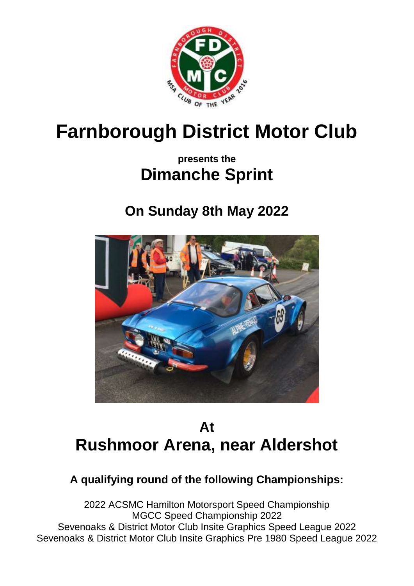

# **Farnborough District Motor Club**

### **presents the Dimanche Sprint**

## **On Sunday 8th May 2022**



### **At Rushmoor Arena, near Aldershot**

### **A qualifying round of the following Championships:**

2022 ACSMC Hamilton Motorsport Speed Championship MGCC Speed Championship 2022 Sevenoaks & District Motor Club Insite Graphics Speed League 2022 Sevenoaks & District Motor Club Insite Graphics Pre 1980 Speed League 2022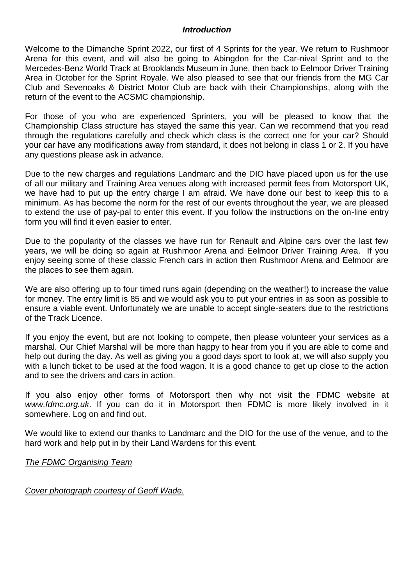#### *Introduction*

Welcome to the Dimanche Sprint 2022, our first of 4 Sprints for the year. We return to Rushmoor Arena for this event, and will also be going to Abingdon for the Car-nival Sprint and to the Mercedes-Benz World Track at Brooklands Museum in June, then back to Eelmoor Driver Training Area in October for the Sprint Royale. We also pleased to see that our friends from the MG Car Club and Sevenoaks & District Motor Club are back with their Championships, along with the return of the event to the ACSMC championship.

For those of you who are experienced Sprinters, you will be pleased to know that the Championship Class structure has stayed the same this year. Can we recommend that you read through the regulations carefully and check which class is the correct one for your car? Should your car have any modifications away from standard, it does not belong in class 1 or 2. If you have any questions please ask in advance.

Due to the new charges and regulations Landmarc and the DIO have placed upon us for the use of all our military and Training Area venues along with increased permit fees from Motorsport UK, we have had to put up the entry charge I am afraid. We have done our best to keep this to a minimum. As has become the norm for the rest of our events throughout the year, we are pleased to extend the use of pay-pal to enter this event. If you follow the instructions on the on-line entry form you will find it even easier to enter.

Due to the popularity of the classes we have run for Renault and Alpine cars over the last few years, we will be doing so again at Rushmoor Arena and Eelmoor Driver Training Area. If you enjoy seeing some of these classic French cars in action then Rushmoor Arena and Eelmoor are the places to see them again.

We are also offering up to four timed runs again (depending on the weather!) to increase the value for money. The entry limit is 85 and we would ask you to put your entries in as soon as possible to ensure a viable event. Unfortunately we are unable to accept single-seaters due to the restrictions of the Track Licence.

If you enjoy the event, but are not looking to compete, then please volunteer your services as a marshal. Our Chief Marshal will be more than happy to hear from you if you are able to come and help out during the day. As well as giving you a good days sport to look at, we will also supply you with a lunch ticket to be used at the food wagon. It is a good chance to get up close to the action and to see the drivers and cars in action.

If you also enjoy other forms of Motorsport then why not visit the FDMC website at *www.fdmc.org.uk*. If you can do it in Motorsport then FDMC is more likely involved in it somewhere. Log on and find out.

We would like to extend our thanks to Landmarc and the DIO for the use of the venue, and to the hard work and help put in by their Land Wardens for this event.

*The FDMC Organising Team*

*Cover photograph courtesy of Geoff Wade.*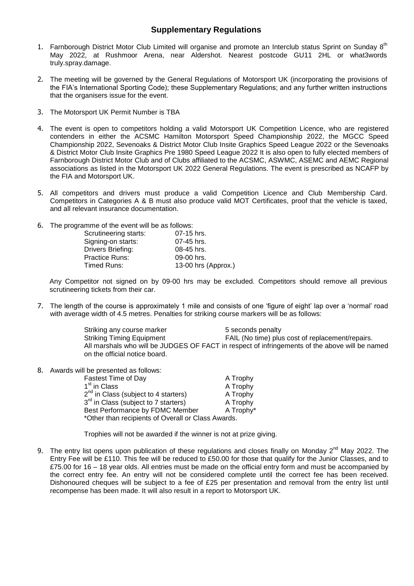#### **Supplementary Regulations**

- 1. Farnborough District Motor Club Limited will organise and promote an Interclub status Sprint on Sunday 8<sup>th</sup> May 2022, at Rushmoor Arena, near Aldershot. Nearest postcode GU11 2HL or what3words truly.spray.damage.
- 2. The meeting will be governed by the General Regulations of Motorsport UK (incorporating the provisions of the FIA's International Sporting Code); these Supplementary Regulations; and any further written instructions that the organisers issue for the event.
- 3. The Motorsport UK Permit Number is TBA
- 4. The event is open to competitors holding a valid Motorsport UK Competition Licence, who are registered contenders in either the ACSMC Hamilton Motorsport Speed Championship 2022, the MGCC Speed Championship 2022, Sevenoaks & District Motor Club Insite Graphics Speed League 2022 or the Sevenoaks & District Motor Club Insite Graphics Pre 1980 Speed League 2022 It is also open to fully elected members of Farnborough District Motor Club and of Clubs affiliated to the ACSMC, ASWMC, ASEMC and AEMC Regional associations as listed in the Motorsport UK 2022 General Regulations. The event is prescribed as NCAFP by the FIA and Motorsport UK.
- 5. All competitors and drivers must produce a valid Competition Licence and Club Membership Card. Competitors in Categories A & B must also produce valid MOT Certificates, proof that the vehicle is taxed, and all relevant insurance documentation.
- 6. The programme of the event will be as follows:

| Scrutineering starts:    | $07-15$ hrs.        |
|--------------------------|---------------------|
| Signing-on starts:       | 07-45 hrs.          |
| <b>Drivers Briefing:</b> | 08-45 hrs.          |
| <b>Practice Runs:</b>    | 09-00 hrs.          |
| Timed Runs:              | 13-00 hrs (Approx.) |
|                          |                     |

Any Competitor not signed on by 09-00 hrs may be excluded. Competitors should remove all previous scrutineering tickets from their car.

7. The length of the course is approximately 1 mile and consists of one 'figure of eight' lap over a 'normal' road with average width of 4.5 metres. Penalties for striking course markers will be as follows:

> Striking any course marker 5 seconds penalty Striking Timing Equipment FAIL (No time) plus cost of replacement/repairs. All marshals who will be JUDGES OF FACT in respect of infringements of the above will be named on the official notice board.

8. Awards will be presented as follows:

| <b>Fastest Time of Day</b>                         | A Trophy  |  |
|----------------------------------------------------|-----------|--|
| 1 <sup>st</sup> in Class                           | A Trophy  |  |
| $2^{nd}$ in Class (subject to 4 starters)          | A Trophy  |  |
| 3 <sup>rd</sup> in Class (subject to 7 starters)   | A Trophy  |  |
| Best Performance by FDMC Member                    | A Trophy* |  |
| *Other than recipients of Overall or Class Awards. |           |  |

Trophies will not be awarded if the winner is not at prize giving.

9. The entry list opens upon publication of these regulations and closes finally on Monday 2<sup>nd</sup> May 2022. The Entry Fee will be £110. This fee will be reduced to £50.00 for those that qualify for the Junior Classes, and to £75.00 for 16 – 18 year olds. All entries must be made on the official entry form and must be accompanied by the correct entry fee. An entry will not be considered complete until the correct fee has been received. Dishonoured cheques will be subject to a fee of £25 per presentation and removal from the entry list until recompense has been made. It will also result in a report to Motorsport UK.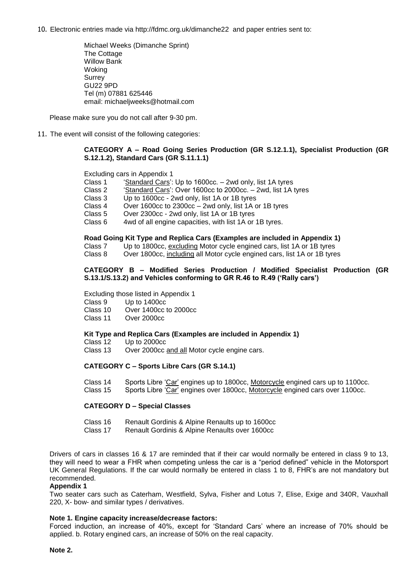10. Electronic entries made via http://fdmc.org.uk/dimanche22 and paper entries sent to:

Michael Weeks (Dimanche Sprint) The Cottage Willow Bank Woking Surrey GU22 9PD Tel (m) 07881 625446 email: michaeljweeks@hotmail.com

Please make sure you do not call after 9-30 pm.

11. The event will consist of the following categories:

#### **CATEGORY A – Road Going Series Production (GR S.12.1.1), Specialist Production (GR S.12.1.2), Standard Cars (GR S.11.1.1)**

Excluding cars in Appendix 1<br>Class 1 Standard Cars':

- 'Standard Cars': Up to 1600cc. 2wd only, list 1A tyres
- Class 2 'Standard Cars': Over 1600cc to 2000cc. 2wd, list 1A tyres<br>Class 3 Un to 1600cc 2wd only list 1A or 1B tyres
- Up to 1600cc 2wd only, list 1A or 1B tyres
- Class 4 Over 1600cc to 2300cc 2wd only, list 1A or 1B tyres
- Class 5 Over 2300cc 2wd only, list 1A or 1B tyres
- 4wd of all engine capacities, with list 1A or 1B tyres.

#### **Road Going Kit Type and Replica Cars (Examples are included in Appendix 1)**

Class 7 Up to 1800cc, excluding Motor cycle engined cars, list 1A or 1B tyres

Class 8 Over 1800cc, including all Motor cycle engined cars, list 1A or 1B tyres

#### **CATEGORY B – Modified Series Production / Modified Specialist Production (GR S.13.1/S.13.2) and Vehicles conforming to GR R.46 to R.49 ('Rally cars')**

Excluding those listed in Appendix 1<br>Class 9 Up to 1400cc

Up to 1400cc

Class 10 Over 1400cc to 2000cc

Class 11 Over 2000cc

#### **Kit Type and Replica Cars (Examples are included in Appendix 1)**

Class 12 Up to 2000cc

Over 2000cc and all Motor cycle engine cars.

#### **CATEGORY C – Sports Libre Cars (GR S.14.1)**

Class 14 Sports Libre 'Car' engines up to 1800cc, Motorcycle engined cars up to 1100cc. Class 15 Sports Libre 'Car' engines over 1800cc, Motorcycle engined cars over 1100cc.

#### **CATEGORY D – Special Classes**

- Class 16 Renault Gordinis & Alpine Renaults up to 1600cc
- Class 17 Renault Gordinis & Alpine Renaults over 1600cc

Drivers of cars in classes 16 & 17 are reminded that if their car would normally be entered in class 9 to 13, they will need to wear a FHR when competing unless the car is a "period defined" vehicle in the Motorsport UK General Regulations. If the car would normally be entered in class 1 to 8, FHR's are not mandatory but recommended.

#### **Appendix 1**

Two seater cars such as Caterham, Westfield, Sylva, Fisher and Lotus 7, Elise, Exige and 340R, Vauxhall 220, X- bow- and similar types / derivatives.

#### **Note 1. Engine capacity increase/decrease factors:**

Forced induction, an increase of 40%, except for 'Standard Cars' where an increase of 70% should be applied. b. Rotary engined cars, an increase of 50% on the real capacity.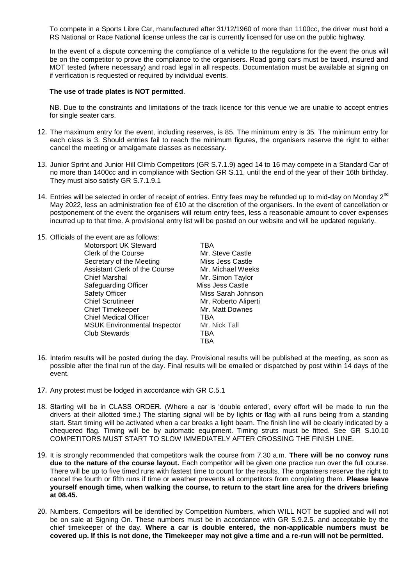To compete in a Sports Libre Car, manufactured after 31/12/1960 of more than 1100cc, the driver must hold a RS National or Race National license unless the car is currently licensed for use on the public highway.

In the event of a dispute concerning the compliance of a vehicle to the regulations for the event the onus will be on the competitor to prove the compliance to the organisers. Road going cars must be taxed, insured and MOT tested (where necessary) and road legal in all respects. Documentation must be available at signing on if verification is requested or required by individual events.

#### **The use of trade plates is NOT permitted**.

NB. Due to the constraints and limitations of the track licence for this venue we are unable to accept entries for single seater cars.

- 12. The maximum entry for the event, including reserves, is 85. The minimum entry is 35. The minimum entry for each class is 3. Should entries fail to reach the minimum figures, the organisers reserve the right to either cancel the meeting or amalgamate classes as necessary.
- 13. Junior Sprint and Junior Hill Climb Competitors (GR S.7.1.9) aged 14 to 16 may compete in a Standard Car of no more than 1400cc and in compliance with Section GR S.11, until the end of the year of their 16th birthday. They must also satisfy GR S.7.1.9.1
- 14. Entries will be selected in order of receipt of entries. Entry fees may be refunded up to mid-day on Monday  $2^{nc}$ May 2022, less an administration fee of £10 at the discretion of the organisers. In the event of cancellation or postponement of the event the organisers will return entry fees, less a reasonable amount to cover expenses incurred up to that time. A provisional entry list will be posted on our website and will be updated regularly.

| 15. Officials of the event are as follows: |                      |
|--------------------------------------------|----------------------|
| Motorsport UK Steward                      | TBA                  |
| Clerk of the Course                        | Mr. Steve Castle     |
| Secretary of the Meeting                   | Miss Jess Castle     |
| <b>Assistant Clerk of the Course</b>       | Mr. Michael Weeks    |
| <b>Chief Marshal</b>                       | Mr. Simon Taylor     |
| Safeguarding Officer                       | Miss Jess Castle     |
| <b>Safety Officer</b>                      | Miss Sarah Johnson   |
| <b>Chief Scrutineer</b>                    | Mr. Roberto Aliperti |
| <b>Chief Timekeeper</b>                    | Mr. Matt Downes      |
| <b>Chief Medical Officer</b>               | TBA                  |
| <b>MSUK Environmental Inspector</b>        | Mr. Nick Tall        |
| <b>Club Stewards</b>                       | TBA                  |
|                                            | TBA                  |

- 16. Interim results will be posted during the day. Provisional results will be published at the meeting, as soon as possible after the final run of the day. Final results will be emailed or dispatched by post within 14 days of the event.
- 17. Any protest must be lodged in accordance with GR C.5.1
- 18. Starting will be in CLASS ORDER. (Where a car is 'double entered', every effort will be made to run the drivers at their allotted time.) The starting signal will be by lights or flag with all runs being from a standing start. Start timing will be activated when a car breaks a light beam. The finish line will be clearly indicated by a chequered flag. Timing will be by automatic equipment. Timing struts must be fitted. See GR S.10.10 COMPETITORS MUST START TO SLOW IMMEDIATELY AFTER CROSSING THE FINISH LINE.
- 19. It is strongly recommended that competitors walk the course from 7.30 a.m. **There will be no convoy runs due to the nature of the course layout.** Each competitor will be given one practice run over the full course. There will be up to five timed runs with fastest time to count for the results. The organisers reserve the right to cancel the fourth or fifth runs if time or weather prevents all competitors from completing them. **Please leave yourself enough time, when walking the course, to return to the start line area for the drivers briefing at 08.45.**
- 20. Numbers. Competitors will be identified by Competition Numbers, which WILL NOT be supplied and will not be on sale at Signing On. These numbers must be in accordance with GR S.9.2.5. and acceptable by the chief timekeeper of the day. **Where a car is double entered, the non-applicable numbers must be covered up. If this is not done, the Timekeeper may not give a time and a re-run will not be permitted.**